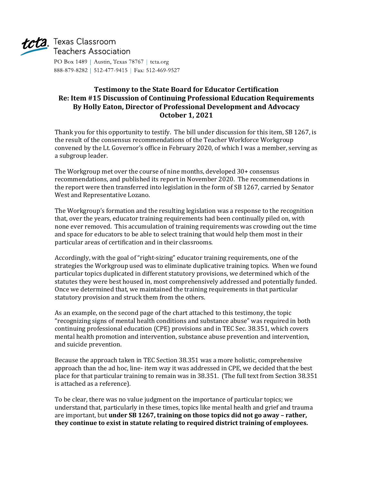

# tcta Texas Classroom **Teachers Association**

PO Box 1489 | Austin, Texas 78767 | tcta.org 888-879-8282 | 512-477-9415 | Fax: 512-469-9527

## **Testimony to the State Board for Educator Certification Re: Item #15 Discussion of Continuing Professional Education Requirements By Holly Eaton, Director of Professional Development and Advocacy October 1, 2021**

Thank you for this opportunity to testify. The bill under discussion for this item, SB 1267, is the result of the consensus recommendations of the Teacher Workforce Workgroup convened by the Lt. Governor's office in February 2020, of which I was a member, serving as a subgroup leader.

The Workgroup met over the course of nine months, developed 30+ consensus recommendations, and published its report in November 2020. The recommendations in the report were then transferred into legislation in the form of SB 1267, carried by Senator West and Representative Lozano.

The Workgroup's formation and the resulting legislation was a response to the recognition that, over the years, educator training requirements had been continually piled on, with none ever removed. This accumulation of training requirements was crowding out the time and space for educators to be able to select training that would help them most in their particular areas of certification and in their classrooms.

Accordingly, with the goal of "right-sizing" educator training requirements, one of the strategies the Workgroup used was to eliminate duplicative training topics. When we found particular topics duplicated in different statutory provisions, we determined which of the statutes they were best housed in, most comprehensively addressed and potentially funded. Once we determined that, we maintained the training requirements in that particular statutory provision and struck them from the others.

As an example, on the second page of the chart attached to this testimony, the topic "recognizing signs of mental health conditions and substance abuse" was required in both continuing professional education (CPE) provisions and in TEC Sec. 38.351, which covers mental health promotion and intervention, substance abuse prevention and intervention, and suicide prevention.

Because the approach taken in TEC Section 38.351 was a more holistic, comprehensive approach than the ad hoc, line- item way it was addressed in CPE, we decided that the best place for that particular training to remain was in 38.351. (The full text from Section 38.351 is attached as a reference).

To be clear, there was no value judgment on the importance of particular topics; we understand that, particularly in these times, topics like mental health and grief and trauma are important, but **under SB 1267, training on those topics did not go away – rather, they continue to exist in statute relating to required district training of employees.**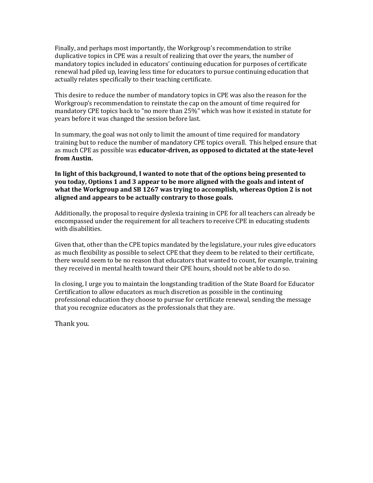Finally, and perhaps most importantly, the Workgroup's recommendation to strike duplicative topics in CPE was a result of realizing that over the years, the number of mandatory topics included in educators' continuing education for purposes of certificate renewal had piled up, leaving less time for educators to pursue continuing education that actually relates specifically to their teaching certificate.

This desire to reduce the number of mandatory topics in CPE was also the reason for the Workgroup's recommendation to reinstate the cap on the amount of time required for mandatory CPE topics back to "no more than 25%" which was how it existed in statute for years before it was changed the session before last.

In summary, the goal was not only to limit the amount of time required for mandatory training but to reduce the number of mandatory CPE topics overall. This helped ensure that as much CPE as possible was **educator-driven, as opposed to dictated at the state-level from Austin.**

**In light of this background, I wanted to note that of the options being presented to you today, Options 1 and 3 appear to be more aligned with the goals and intent of what the Workgroup and SB 1267 was trying to accomplish, whereas Option 2 is not aligned and appears to be actually contrary to those goals.**

Additionally, the proposal to require dyslexia training in CPE for all teachers can already be encompassed under the requirement for all teachers to receive CPE in educating students with disabilities.

Given that, other than the CPE topics mandated by the legislature, your rules give educators as much flexibility as possible to select CPE that they deem to be related to their certificate, there would seem to be no reason that educators that wanted to count, for example, training they received in mental health toward their CPE hours, should not be able to do so.

In closing, I urge you to maintain the longstanding tradition of the State Board for Educator Certification to allow educators as much discretion as possible in the continuing professional education they choose to pursue for certificate renewal, sending the message that you recognize educators as the professionals that they are.

Thank you.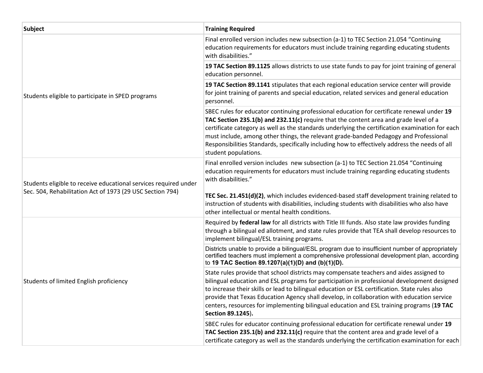| <b>Subject</b>                                                                                                                | <b>Training Required</b>                                                                                                                                                                                                                                                                                                                                                                                                                                                                                  |
|-------------------------------------------------------------------------------------------------------------------------------|-----------------------------------------------------------------------------------------------------------------------------------------------------------------------------------------------------------------------------------------------------------------------------------------------------------------------------------------------------------------------------------------------------------------------------------------------------------------------------------------------------------|
| Students eligible to participate in SPED programs                                                                             | Final enrolled version includes new subsection (a-1) to TEC Section 21.054 "Continuing<br>education requirements for educators must include training regarding educating students<br>with disabilities."                                                                                                                                                                                                                                                                                                  |
|                                                                                                                               | 19 TAC Section 89.1125 allows districts to use state funds to pay for joint training of general<br>education personnel.                                                                                                                                                                                                                                                                                                                                                                                   |
|                                                                                                                               | 19 TAC Section 89.1141 stipulates that each regional education service center will provide<br>for joint training of parents and special education, related services and general education<br>personnel.                                                                                                                                                                                                                                                                                                   |
|                                                                                                                               | SBEC rules for educator continuing professional education for certificate renewal under 19<br>TAC Section 235.1(b) and 232.11(c) require that the content area and grade level of a<br>certificate category as well as the standards underlying the certification examination for each<br>must include, among other things, the relevant grade-banded Pedagogy and Professional<br>Responsibilities Standards, specifically including how to effectively address the needs of all<br>student populations. |
| Students eligible to receive educational services required under<br>Sec. 504, Rehabilitation Act of 1973 (29 USC Section 794) | Final enrolled version includes new subsection (a-1) to TEC Section 21.054 "Continuing<br>education requirements for educators must include training regarding educating students<br>with disabilities."                                                                                                                                                                                                                                                                                                  |
|                                                                                                                               | TEC Sec. 21.451(d)(2), which includes evidenced-based staff development training related to<br>instruction of students with disabilities, including students with disabilities who also have<br>other intellectual or mental health conditions.                                                                                                                                                                                                                                                           |
| Students of limited English proficiency                                                                                       | Required by federal law for all districts with Title III funds. Also state law provides funding<br>through a bilingual ed allotment, and state rules provide that TEA shall develop resources to<br>implement bilingual/ESL training programs.                                                                                                                                                                                                                                                            |
|                                                                                                                               | Districts unable to provide a bilingual/ESL program due to insufficient number of appropriately<br>certified teachers must implement a comprehensive professional development plan, according<br>to 19 TAC Section 89.1207(a)(1)(D) and (b)(1)(D).                                                                                                                                                                                                                                                        |
|                                                                                                                               | State rules provide that school districts may compensate teachers and aides assigned to<br>bilingual education and ESL programs for participation in professional development designed<br>to increase their skills or lead to bilingual education or ESL certification. State rules also<br>provide that Texas Education Agency shall develop, in collaboration with education service<br>centers, resources for implementing bilingual education and ESL training programs (19 TAC<br>Section 89.1245).  |
|                                                                                                                               | SBEC rules for educator continuing professional education for certificate renewal under 19<br>TAC Section 235.1(b) and 232.11(c) require that the content area and grade level of a<br>certificate category as well as the standards underlying the certification examination for each                                                                                                                                                                                                                    |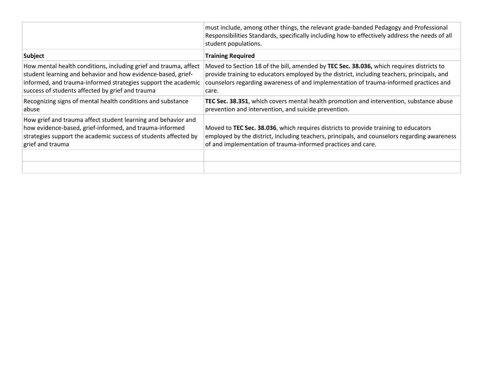|                                                                                                                                                                                                                                                       | must include, among other things, the relevant grade-banded Pedagogy and Professional<br>Responsibilities Standards, specifically including how to effectively address the needs of all<br>student populations.                                                                           |
|-------------------------------------------------------------------------------------------------------------------------------------------------------------------------------------------------------------------------------------------------------|-------------------------------------------------------------------------------------------------------------------------------------------------------------------------------------------------------------------------------------------------------------------------------------------|
| <b>Subject</b>                                                                                                                                                                                                                                        | <b>Training Required</b>                                                                                                                                                                                                                                                                  |
| How mental health conditions, including grief and trauma, affect<br>student learning and behavior and how evidence-based, grief-<br>informed, and trauma-informed strategies support the academic<br>success of students affected by grief and trauma | Moved to Section 18 of the bill, amended by TEC Sec. 38.036, which requires districts to<br>provide training to educators employed by the district, including teachers, principals, and<br>counselors regarding awareness of and implementation of trauma-informed practices and<br>care. |
| Recognizing signs of mental health conditions and substance<br>abuse                                                                                                                                                                                  | TEC Sec. 38.351, which covers mental health promotion and intervention, substance abuse<br>prevention and intervention, and suicide prevention.                                                                                                                                           |
| How grief and trauma affect student learning and behavior and<br>how evidence-based, grief-informed, and trauma-informed<br>strategies support the academic success of students affected by<br>grief and trauma                                       | Moved to TEC Sec. 38.036, which requires districts to provide training to educators<br>employed by the district, including teachers, principals, and counselors regarding awareness<br>of and implementation of trauma-informed practices and care.                                       |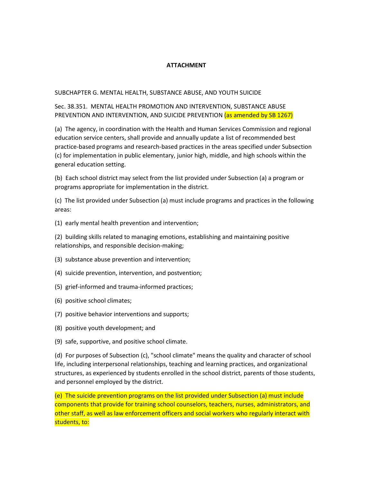#### **ATTACHMENT**

#### SUBCHAPTER G. MENTAL HEALTH, SUBSTANCE ABUSE, AND YOUTH SUICIDE

### Sec. 38.351. MENTAL HEALTH PROMOTION AND INTERVENTION, SUBSTANCE ABUSE PREVENTION AND INTERVENTION, AND SUICIDE PREVENTION (as amended by SB 1267)

(a) The agency, in coordination with the Health and Human Services Commission and regional education service centers, shall provide and annually update a list of recommended best practice-based programs and research-based practices in the areas specified under Subsection (c) for implementation in public elementary, junior high, middle, and high schools within the general education setting.

(b) Each school district may select from the list provided under Subsection (a) a program or programs appropriate for implementation in the district.

(c) The list provided under Subsection (a) must include programs and practices in the following areas:

(1) early mental health prevention and intervention;

(2) building skills related to managing emotions, establishing and maintaining positive relationships, and responsible decision-making;

- (3) substance abuse prevention and intervention;
- (4) suicide prevention, intervention, and postvention;
- (5) grief-informed and trauma-informed practices;
- (6) positive school climates;
- (7) positive behavior interventions and supports;
- (8) positive youth development; and
- (9) safe, supportive, and positive school climate.

(d) For purposes of Subsection (c), "school climate" means the quality and character of school life, including interpersonal relationships, teaching and learning practices, and organizational structures, as experienced by students enrolled in the school district, parents of those students, and personnel employed by the district.

(e) The suicide prevention programs on the list provided under Subsection (a) must include components that provide for training school counselors, teachers, nurses, administrators, and other staff, as well as law enforcement officers and social workers who regularly interact with students, to: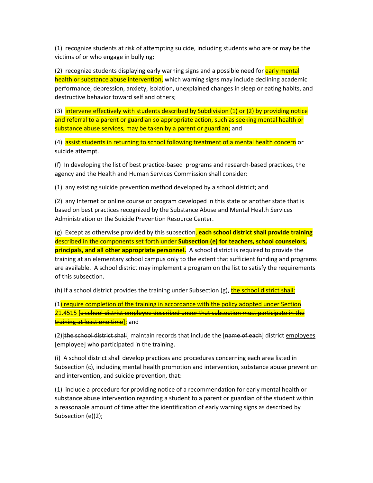(1) recognize students at risk of attempting suicide, including students who are or may be the victims of or who engage in bullying;

(2) recognize students displaying early warning signs and a possible need for early mental health or substance abuse intervention, which warning signs may include declining academic performance, depression, anxiety, isolation, unexplained changes in sleep or eating habits, and destructive behavior toward self and others;

(3) intervene effectively with students described by Subdivision (1) or (2) by providing notice and referral to a parent or guardian so appropriate action, such as seeking mental health or substance abuse services, may be taken by a parent or guardian; and

(4) assist students in returning to school following treatment of a mental health concern or suicide attempt.

(f) In developing the list of best practice-based programs and research-based practices, the agency and the Health and Human Services Commission shall consider:

(1) any existing suicide prevention method developed by a school district; and

(2) any Internet or online course or program developed in this state or another state that is based on best practices recognized by the Substance Abuse and Mental Health Services Administration or the Suicide Prevention Resource Center.

(g) Except as otherwise provided by this subsection, **each school district shall provide training** described in the components set forth under **Subsection (e) for teachers, school counselors, principals, and all other appropriate personnel.** A school district is required to provide the training at an elementary school campus only to the extent that sufficient funding and programs are available. A school district may implement a program on the list to satisfy the requirements of this subsection.

(h) If a school district provides the training under Subsection (g), the school district shall:

(1) require completion of the training in accordance with the policy adopted under Section 21.4515 [a school district employee described under that subsection must participate in the training at least one time]; and

(2) [the school district shall] maintain records that include the [name of each] district employees [employee] who participated in the training.

(i) A school district shall develop practices and procedures concerning each area listed in Subsection (c), including mental health promotion and intervention, substance abuse prevention and intervention, and suicide prevention, that:

(1) include a procedure for providing notice of a recommendation for early mental health or substance abuse intervention regarding a student to a parent or guardian of the student within a reasonable amount of time after the identification of early warning signs as described by Subsection (e)(2);